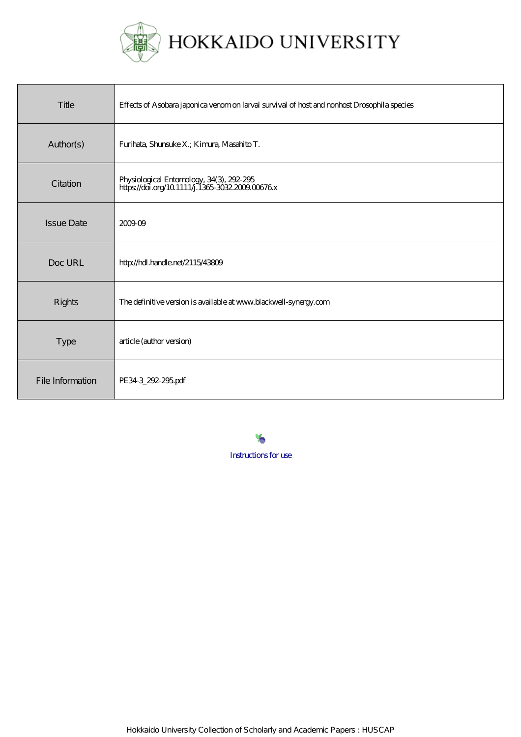

| Title             | Effects of Asobara japonica venom on larval survival of host and nonhost Drosophila species  |  |
|-------------------|----------------------------------------------------------------------------------------------|--|
| Author(s)         | Furihata, Shunsuke X.; Kimura, Masahito T.                                                   |  |
| Citation          | Physiological Entomology, 34(3), 292-295<br>https://doi.org/10.1111/j.1365-3032.2009.00676.x |  |
| <b>Issue Date</b> | 200909                                                                                       |  |
| Doc URL           | http://hdl.handle.net/2115/43809                                                             |  |
| <b>Rights</b>     | The definitive version is available at www.blackwell-synergy.com                             |  |
| <b>Type</b>       | article (author version)                                                                     |  |
| File Information  | PE343_292-295.pdf                                                                            |  |

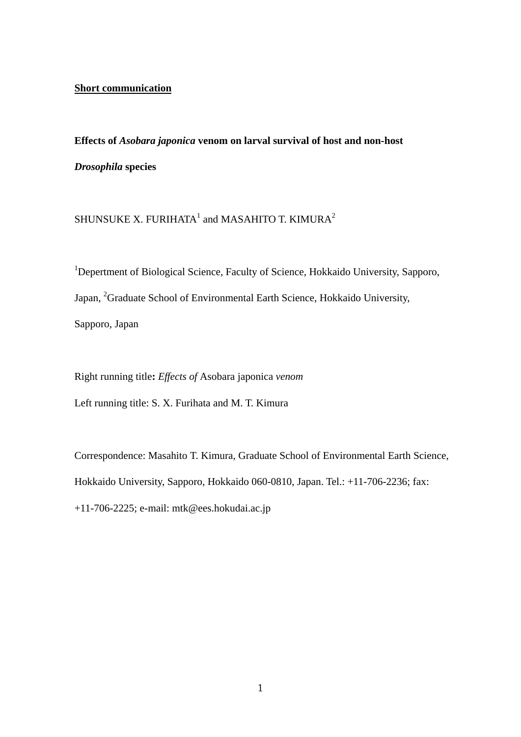### **Short communication**

**Effects of** *Asobara japonica* **venom on larval survival of host and non-host**  *Drosophila* **species** 

SHUNSUKE X. FURIHATA $^{\rm 1}$  and MASAHITO T. KIMURA $^{\rm 2}$ 

<sup>1</sup>Depertment of Biological Science, Faculty of Science, Hokkaido University, Sapporo, Japan, <sup>2</sup>Graduate School of Environmental Earth Science, Hokkaido University, Sapporo, Japan

Right running title**:** *Effects of* Asobara japonica *venom*

Left running title: S. X. Furihata and M. T. Kimura

Correspondence: Masahito T. Kimura, Graduate School of Environmental Earth Science, Hokkaido University, Sapporo, Hokkaido 060-0810, Japan. Tel.: +11-706-2236; fax: +11-706-2225; e-mail: mtk@ees.hokudai.ac.jp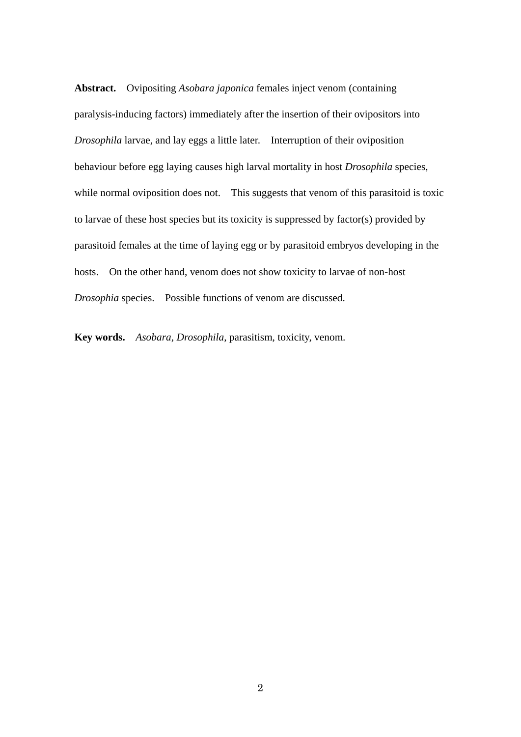**Abstract.** Ovipositing *Asobara japonica* females inject venom (containing paralysis-inducing factors) immediately after the insertion of their ovipositors into *Drosophila* larvae, and lay eggs a little later. Interruption of their oviposition behaviour before egg laying causes high larval mortality in host *Drosophila* species, while normal oviposition does not. This suggests that venom of this parasitoid is toxic to larvae of these host species but its toxicity is suppressed by factor(s) provided by parasitoid females at the time of laying egg or by parasitoid embryos developing in the hosts. On the other hand, venom does not show toxicity to larvae of non-host *Drosophia* species. Possible functions of venom are discussed.

**Key words.** *Asobara*, *Drosophila*, parasitism, toxicity, venom.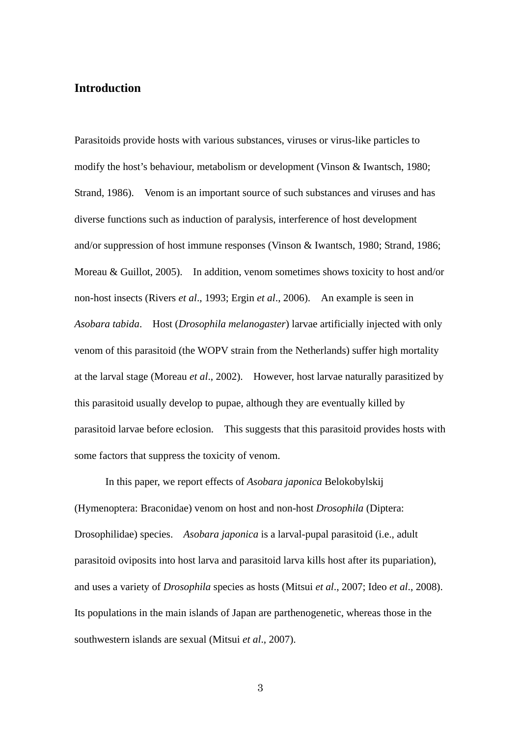### **Introduction**

Parasitoids provide hosts with various substances, viruses or virus-like particles to modify the host's behaviour, metabolism or development (Vinson & Iwantsch, 1980; Strand, 1986). Venom is an important source of such substances and viruses and has diverse functions such as induction of paralysis, interference of host development and/or suppression of host immune responses (Vinson & Iwantsch, 1980; Strand, 1986; Moreau & Guillot, 2005). In addition, venom sometimes shows toxicity to host and/or non-host insects (Rivers *et al*., 1993; Ergin *et al*., 2006). An example is seen in *Asobara tabida*. Host (*Drosophila melanogaster*) larvae artificially injected with only venom of this parasitoid (the WOPV strain from the Netherlands) suffer high mortality at the larval stage (Moreau *et al*., 2002). However, host larvae naturally parasitized by this parasitoid usually develop to pupae, although they are eventually killed by parasitoid larvae before eclosion. This suggests that this parasitoid provides hosts with some factors that suppress the toxicity of venom.

In this paper, we report effects of *Asobara japonica* Belokobylskij (Hymenoptera: Braconidae) venom on host and non-host *Drosophila* (Diptera: Drosophilidae) species. *Asobara japonica* is a larval-pupal parasitoid (i.e., adult parasitoid oviposits into host larva and parasitoid larva kills host after its pupariation), and uses a variety of *Drosophila* species as hosts (Mitsui *et al*., 2007; Ideo *et al*., 2008). Its populations in the main islands of Japan are parthenogenetic, whereas those in the southwestern islands are sexual (Mitsui *et al*., 2007).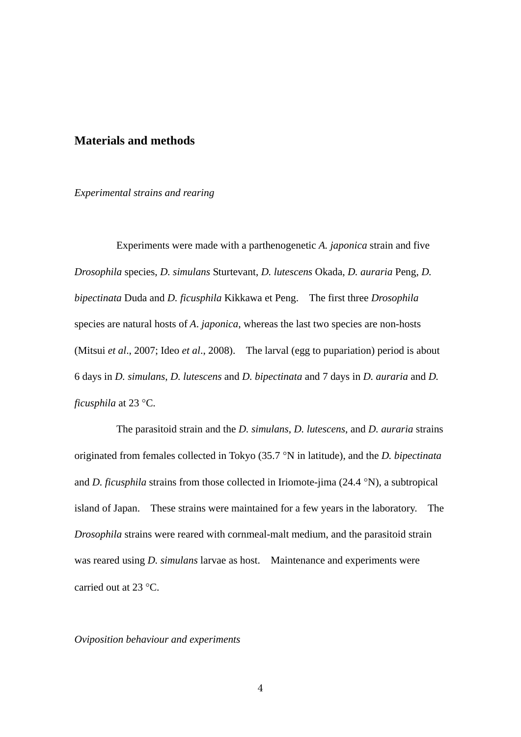# **Materials and methods**

#### *Experimental strains and rearing*

Experiments were made with a parthenogenetic *A. japonica* strain and five *Drosophila* species, *D. simulans* Sturtevant, *D. lutescens* Okada, *D. auraria* Peng, *D. bipectinata* Duda and *D. ficusphila* Kikkawa et Peng. The first three *Drosophila* species are natural hosts of *A*. *japonica*, whereas the last two species are non-hosts (Mitsui *et al*., 2007; Ideo *et al*., 2008). The larval (egg to pupariation) period is about 6 days in *D. simulans*, *D. lutescens* and *D. bipectinata* and 7 days in *D. auraria* and *D. ficusphila* at 23 °C.

The parasitoid strain and the *D. simulans*, *D. lutescens*, and *D. auraria* strains originated from females collected in Tokyo (35.7 °N in latitude), and the *D. bipectinata* and *D. ficusphila* strains from those collected in Iriomote-jima (24.4 °N), a subtropical island of Japan. These strains were maintained for a few years in the laboratory. The *Drosophila* strains were reared with cornmeal-malt medium, and the parasitoid strain was reared using *D. simulans* larvae as host. Maintenance and experiments were carried out at  $23 \text{ °C}$ .

*Oviposition behaviour and experiments*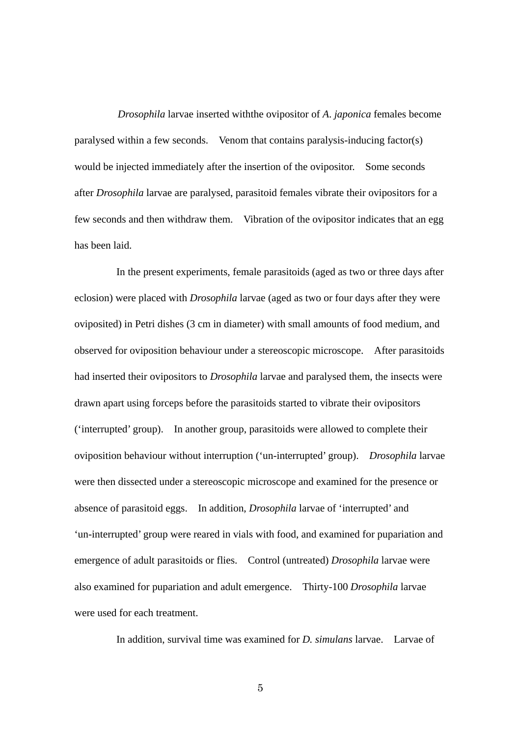*Drosophila* larvae inserted withthe ovipositor of *A*. *japonica* females become paralysed within a few seconds. Venom that contains paralysis-inducing factor(s) would be injected immediately after the insertion of the ovipositor. Some seconds after *Drosophila* larvae are paralysed, parasitoid females vibrate their ovipositors for a few seconds and then withdraw them. Vibration of the ovipositor indicates that an egg has been laid.

In the present experiments, female parasitoids (aged as two or three days after eclosion) were placed with *Drosophila* larvae (aged as two or four days after they were oviposited) in Petri dishes (3 cm in diameter) with small amounts of food medium, and observed for oviposition behaviour under a stereoscopic microscope. After parasitoids had inserted their ovipositors to *Drosophila* larvae and paralysed them, the insects were drawn apart using forceps before the parasitoids started to vibrate their ovipositors ('interrupted' group). In another group, parasitoids were allowed to complete their oviposition behaviour without interruption ('un-interrupted' group). *Drosophila* larvae were then dissected under a stereoscopic microscope and examined for the presence or absence of parasitoid eggs. In addition, *Drosophila* larvae of 'interrupted' and 'un-interrupted' group were reared in vials with food, and examined for pupariation and emergence of adult parasitoids or flies. Control (untreated) *Drosophila* larvae were also examined for pupariation and adult emergence. Thirty-100 *Drosophila* larvae were used for each treatment.

In addition, survival time was examined for *D. simulans* larvae. Larvae of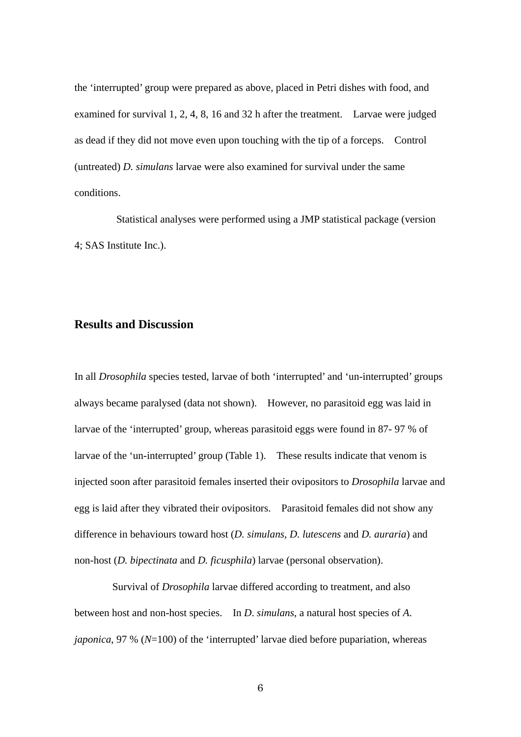the 'interrupted' group were prepared as above, placed in Petri dishes with food, and examined for survival 1, 2, 4, 8, 16 and 32 h after the treatment. Larvae were judged as dead if they did not move even upon touching with the tip of a forceps. Control (untreated) *D. simulans* larvae were also examined for survival under the same conditions.

Statistical analyses were performed using a JMP statistical package (version 4; SAS Institute Inc.).

### **Results and Discussion**

In all *Drosophila* species tested, larvae of both 'interrupted' and 'un-interrupted' groups always became paralysed (data not shown). However, no parasitoid egg was laid in larvae of the 'interrupted' group, whereas parasitoid eggs were found in 87- 97 % of larvae of the 'un-interrupted' group (Table 1). These results indicate that venom is injected soon after parasitoid females inserted their ovipositors to *Drosophila* larvae and egg is laid after they vibrated their ovipositors. Parasitoid females did not show any difference in behaviours toward host (*D. simulans*, *D. lutescens* and *D. auraria*) and non-host (*D. bipectinata* and *D. ficusphila*) larvae (personal observation).

Survival of *Drosophila* larvae differed according to treatment, and also between host and non-host species. In *D*. *simulans*, a natural host species of *A*. *japonica*, 97 % (*N*=100) of the 'interrupted' larvae died before pupariation, whereas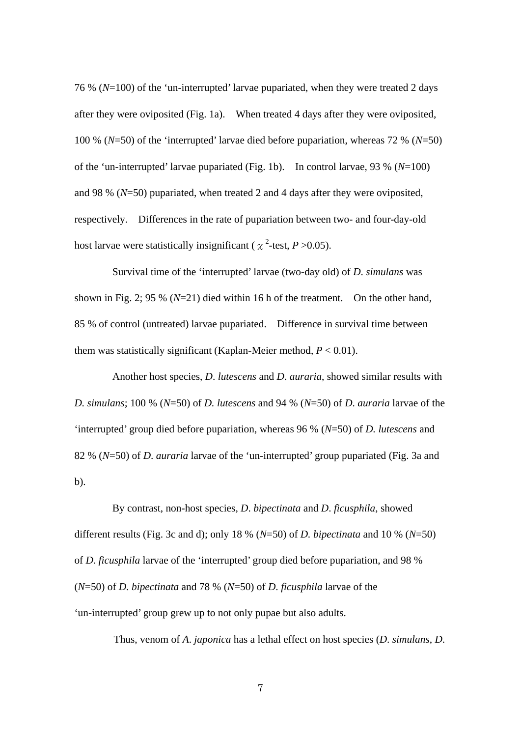76 % (*N*=100) of the 'un-interrupted' larvae pupariated, when they were treated 2 days after they were oviposited (Fig. 1a). When treated 4 days after they were oviposited, 100 % (*N*=50) of the 'interrupted' larvae died before pupariation, whereas 72 % (*N*=50) of the 'un-interrupted' larvae pupariated (Fig. 1b). In control larvae, 93 % (*N*=100) and 98 % (*N*=50) pupariated, when treated 2 and 4 days after they were oviposited, respectively. Differences in the rate of pupariation between two- and four-day-old host larvae were statistically insignificant ( $\chi^2$ -test, *P* > 0.05).

Survival time of the 'interrupted' larvae (two-day old) of *D*. *simulans* was shown in Fig. 2; 95 % (*N*=21) died within 16 h of the treatment. On the other hand, 85 % of control (untreated) larvae pupariated. Difference in survival time between them was statistically significant (Kaplan-Meier method,  $P < 0.01$ ).

Another host species, *D*. *lutescens* and *D*. *auraria*, showed similar results with *D. simulans*; 100 % (*N*=50) of *D. lutescens* and 94 % (*N*=50) of *D*. *auraria* larvae of the 'interrupted' group died before pupariation, whereas 96 % (*N*=50) of *D. lutescens* and 82 % (*N*=50) of *D*. *auraria* larvae of the 'un-interrupted' group pupariated (Fig. 3a and b).

By contrast, non-host species, *D*. *bipectinata* and *D*. *ficusphila*, showed different results (Fig. 3c and d); only 18 % (*N*=50) of *D. bipectinata* and 10 % (*N*=50) of *D*. *ficusphila* larvae of the 'interrupted' group died before pupariation, and 98 % (*N*=50) of *D. bipectinata* and 78 % (*N*=50) of *D*. *ficusphila* larvae of the 'un-interrupted' group grew up to not only pupae but also adults.

Thus, venom of *A*. *japonica* has a lethal effect on host species (*D*. *simulans*, *D*.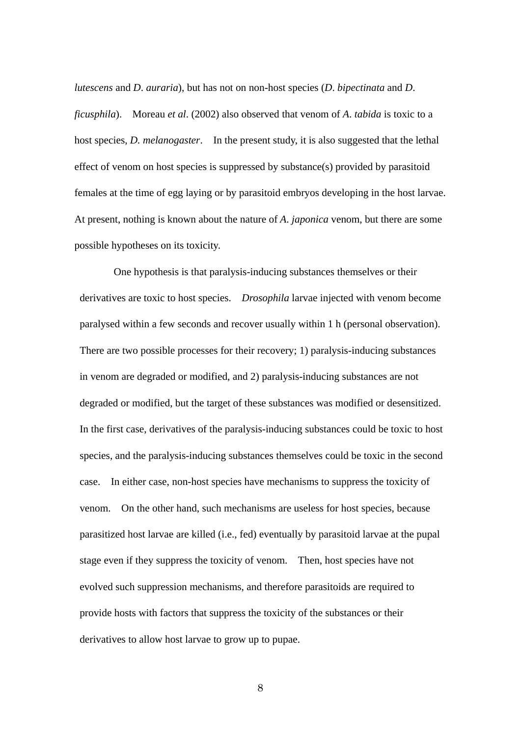*lutescens* and *D*. *auraria*), but has not on non-host species (*D*. *bipectinata* and *D*. *ficusphila*). Moreau *et al*. (2002) also observed that venom of *A*. *tabida* is toxic to a host species, *D. melanogaster*. In the present study, it is also suggested that the lethal effect of venom on host species is suppressed by substance(s) provided by parasitoid females at the time of egg laying or by parasitoid embryos developing in the host larvae. At present, nothing is known about the nature of *A*. *japonica* venom, but there are some possible hypotheses on its toxicity.

One hypothesis is that paralysis-inducing substances themselves or their derivatives are toxic to host species. *Drosophila* larvae injected with venom become paralysed within a few seconds and recover usually within 1 h (personal observation). There are two possible processes for their recovery; 1) paralysis-inducing substances in venom are degraded or modified, and 2) paralysis-inducing substances are not degraded or modified, but the target of these substances was modified or desensitized. In the first case, derivatives of the paralysis-inducing substances could be toxic to host species, and the paralysis-inducing substances themselves could be toxic in the second case. In either case, non-host species have mechanisms to suppress the toxicity of venom. On the other hand, such mechanisms are useless for host species, because parasitized host larvae are killed (i.e., fed) eventually by parasitoid larvae at the pupal stage even if they suppress the toxicity of venom. Then, host species have not evolved such suppression mechanisms, and therefore parasitoids are required to provide hosts with factors that suppress the toxicity of the substances or their derivatives to allow host larvae to grow up to pupae.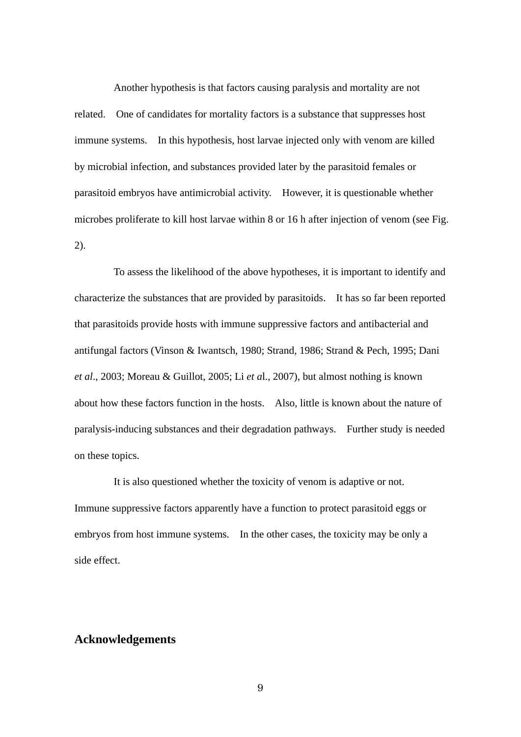Another hypothesis is that factors causing paralysis and mortality are not related. One of candidates for mortality factors is a substance that suppresses host immune systems. In this hypothesis, host larvae injected only with venom are killed by microbial infection, and substances provided later by the parasitoid females or parasitoid embryos have antimicrobial activity. However, it is questionable whether microbes proliferate to kill host larvae within 8 or 16 h after injection of venom (see Fig. 2).

To assess the likelihood of the above hypotheses, it is important to identify and characterize the substances that are provided by parasitoids. It has so far been reported that parasitoids provide hosts with immune suppressive factors and antibacterial and antifungal factors (Vinson & Iwantsch, 1980; Strand, 1986; Strand & Pech, 1995; Dani *et al*., 2003; Moreau & Guillot, 2005; Li *et a*l., 2007), but almost nothing is known about how these factors function in the hosts. Also, little is known about the nature of paralysis-inducing substances and their degradation pathways. Further study is needed on these topics.

It is also questioned whether the toxicity of venom is adaptive or not. Immune suppressive factors apparently have a function to protect parasitoid eggs or embryos from host immune systems. In the other cases, the toxicity may be only a side effect.

## **Acknowledgements**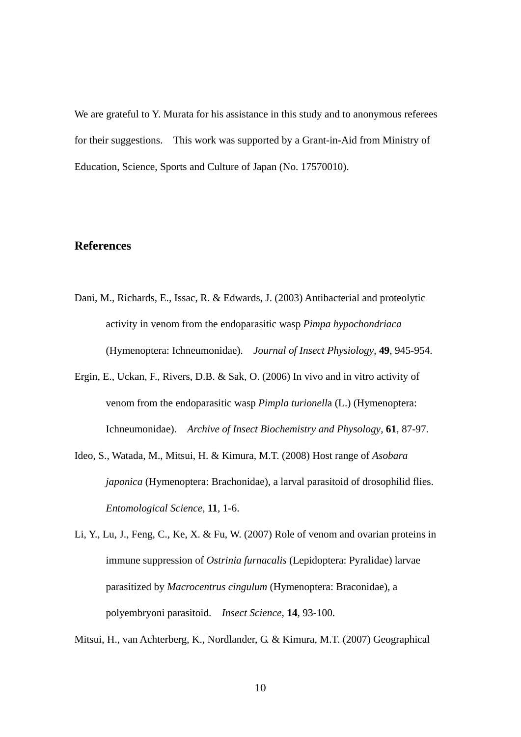We are grateful to Y. Murata for his assistance in this study and to anonymous referees for their suggestions. This work was supported by a Grant-in-Aid from Ministry of Education, Science, Sports and Culture of Japan (No. 17570010).

## **References**

- Dani, M., Richards, E., Issac, R. & Edwards, J. (2003) Antibacterial and proteolytic activity in venom from the endoparasitic wasp *Pimpa hypochondriaca* (Hymenoptera: Ichneumonidae). *Journal of Insect Physiology*, **49**, 945-954.
- Ergin, E., Uckan, F., Rivers, D.B. & Sak, O. (2006) In vivo and in vitro activity of venom from the endoparasitic wasp *Pimpla turionell*a (L.) (Hymenoptera: Ichneumonidae). *Archive of Insect Biochemistry and Physology*, **61**, 87-97.
- Ideo, S., Watada, M., Mitsui, H. & Kimura, M.T. (2008) Host range of *Asobara japonica* (Hymenoptera: Brachonidae), a larval parasitoid of drosophilid flies. *Entomological Science*, **11**, 1-6.
- Li, Y., Lu, J., Feng, C., Ke, X. & Fu, W. (2007) Role of venom and ovarian proteins in immune suppression of *Ostrinia furnacalis* (Lepidoptera: Pyralidae) larvae parasitized by *Macrocentrus cingulum* (Hymenoptera: Braconidae), a polyembryoni parasitoid. *Insect Science*, **14**, 93-100.

Mitsui, H., van Achterberg, K., Nordlander, G. & Kimura, M.T. (2007) Geographical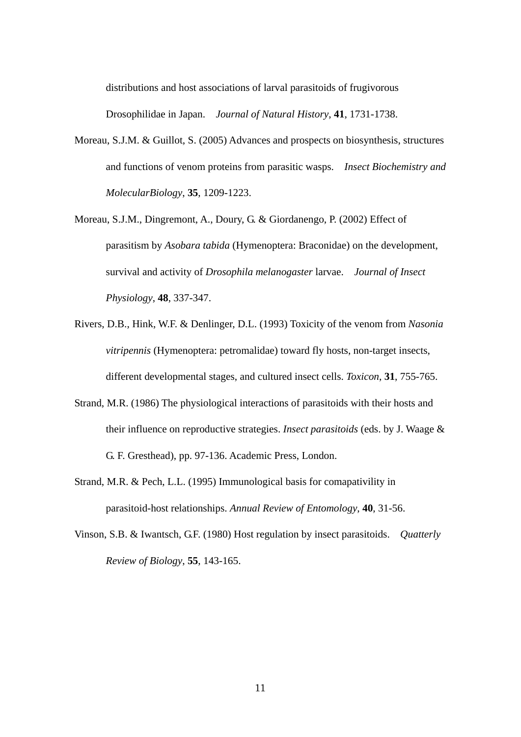distributions and host associations of larval parasitoids of frugivorous Drosophilidae in Japan. *Journal of Natural History*, **41**, 1731-1738.

- Moreau, S.J.M. & Guillot, S. (2005) Advances and prospects on biosynthesis, structures and functions of venom proteins from parasitic wasps. *Insect Biochemistry and MolecularBiology*, **35**, 1209-1223.
- Moreau, S.J.M., Dingremont, A., Doury, G. & Giordanengo, P. (2002) Effect of parasitism by *Asobara tabida* (Hymenoptera: Braconidae) on the development, survival and activity of *Drosophila melanogaster* larvae. *Journal of Insect Physiology*, **48**, 337-347.
- Rivers, D.B., Hink, W.F. & Denlinger, D.L. (1993) Toxicity of the venom from *Nasonia vitripennis* (Hymenoptera: petromalidae) toward fly hosts, non-target insects, different developmental stages, and cultured insect cells. *Toxicon*, **31**, 755-765.
- Strand, M.R. (1986) The physiological interactions of parasitoids with their hosts and their influence on reproductive strategies. *Insect parasitoids* (eds. by J. Waage & G. F. Gresthead), pp. 97-136. Academic Press, London.
- Strand, M.R. & Pech, L.L. (1995) Immunological basis for comapativility in parasitoid-host relationships. *Annual Review of Entomology*, **40**, 31-56.
- Vinson, S.B. & Iwantsch, G.F. (1980) Host regulation by insect parasitoids. *Quatterly Review of Biology*, **55**, 143-165.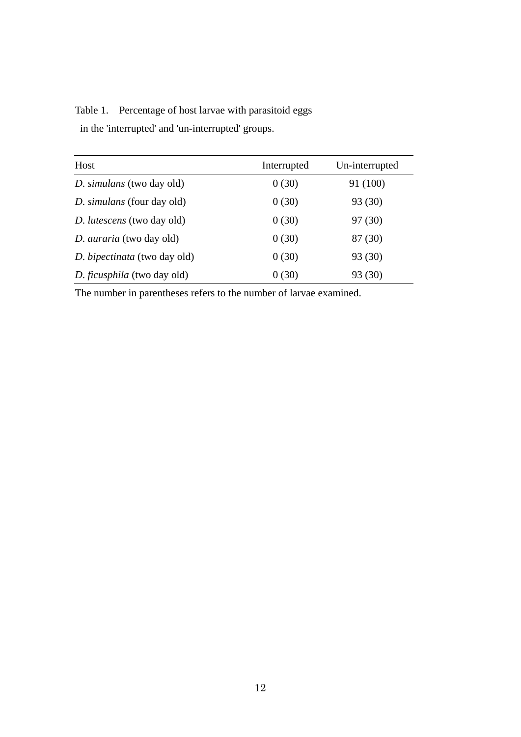Table 1. Percentage of host larvae with parasitoid eggs in the 'interrupted' and 'un-interrupted' groups.

| Host                              | Interrupted | Un-interrupted |
|-----------------------------------|-------------|----------------|
| D. simulans (two day old)         | 0(30)       | 91 (100)       |
| <i>D. simulans</i> (four day old) | 0(30)       | 93 (30)        |
| D. lutescens (two day old)        | 0(30)       | 97 (30)        |
| D. <i>auraria</i> (two day old)   | 0(30)       | 87 (30)        |
| D. bipectinata (two day old)      | 0(30)       | 93 (30)        |
| D. ficusphila (two day old)       | 0(30)       | 93 (30)        |

The number in parentheses refers to the number of larvae examined.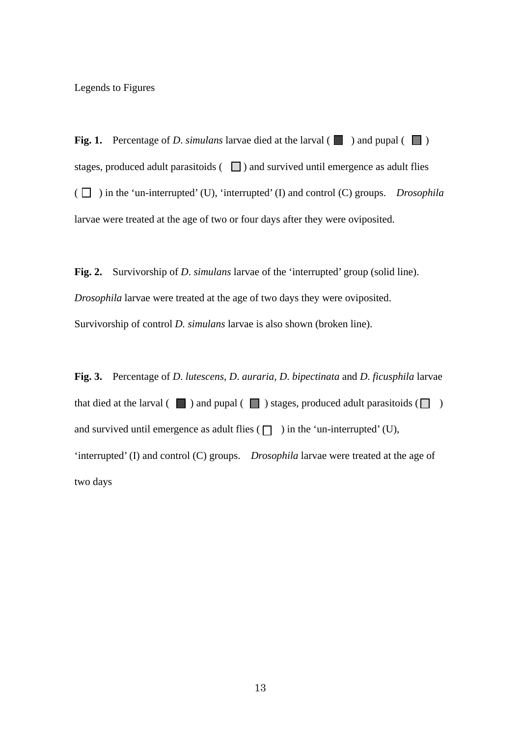Legends to Figures

**Fig. 1.** Percentage of *D.* simulans larvae died at the larval ( $\Box$ ) and pupal ( $\Box$ ) stages, produced adult parasitoids  $\left(\Box\right)$  and survived until emergence as adult flies  $(\Box)$  in the 'un-interrupted' (U), 'interrupted' (I) and control (C) groups. *Drosophila* larvae were treated at the age of two or four days after they were oviposited.

**Fig. 2.** Survivorship of *D*. *simulans* larvae of the 'interrupted' group (solid line). *Drosophila* larvae were treated at the age of two days they were oviposited. Survivorship of control *D. simulans* larvae is also shown (broken line).

**Fig. 3.** Percentage of *D*. *lutescens, D*. *auraria, D*. *bipectinata* and *D*. *ficusphila* larvae that died at the larval ( $\Box$ ) and pupal ( $\Box$ ) stages, produced adult parasitoids ( $\Box$ ) and survived until emergence as adult flies  $(\Box)$  in the 'un-interrupted' (U), 'interrupted' (I) and control (C) groups. *Drosophila* larvae were treated at the age of two days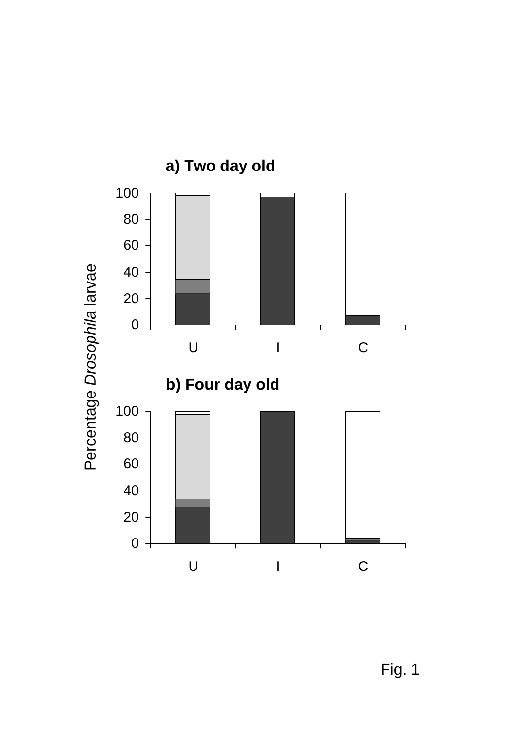

Fig. 1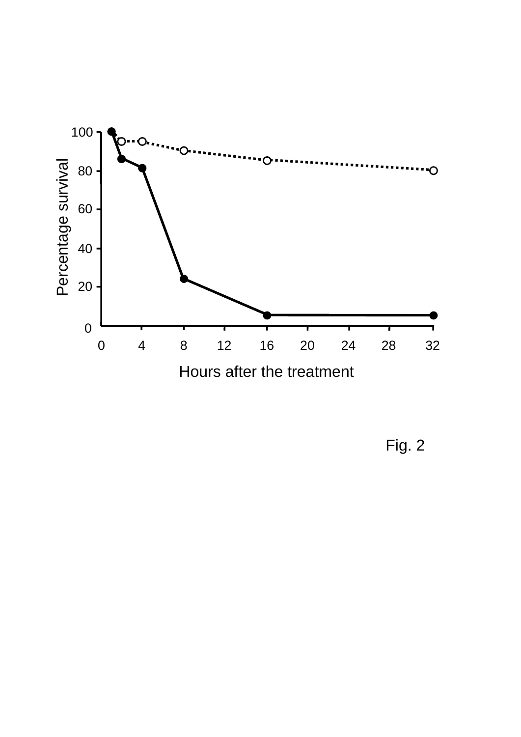

Fig. 2